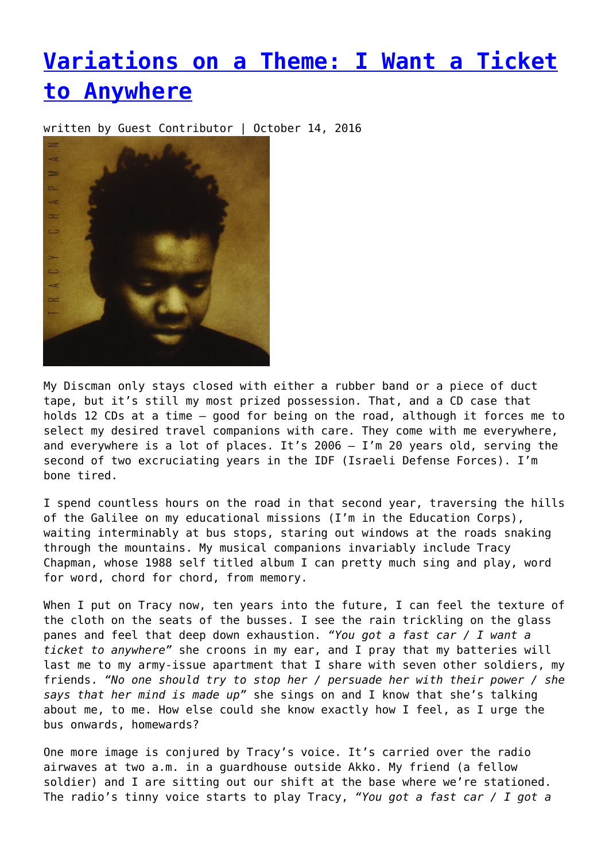## **[Variations on a Theme: I Want a Ticket](https://entropymag.org/variations-on-a-theme-i-want-a-ticket-to-anywhere/) [to Anywhere](https://entropymag.org/variations-on-a-theme-i-want-a-ticket-to-anywhere/)**

written by Guest Contributor | October 14, 2016



My Discman only stays closed with either a rubber band or a piece of duct tape, but it's still my most prized possession. That, and a CD case that holds 12 CDs at a time — good for being on the road, although it forces me to select my desired travel companions with care. They come with me everywhere, and everywhere is a lot of places. It's 2006 — I'm 20 years old, serving the second of two excruciating years in the IDF (Israeli Defense Forces). I'm bone tired.

I spend countless hours on the road in that second year, traversing the hills of the Galilee on my educational missions (I'm in the Education Corps), waiting interminably at bus stops, staring out windows at the roads snaking through the mountains. My musical companions invariably include Tracy Chapman, whose 1988 self titled album I can pretty much sing and play, word for word, chord for chord, from memory.

When I put on Tracy now, ten years into the future, I can feel the texture of the cloth on the seats of the busses. I see the rain trickling on the glass panes and feel that deep down exhaustion. *"You got a fast car / I want a ticket to anywhere"* she croons in my ear, and I pray that my batteries will last me to my army-issue apartment that I share with seven other soldiers, my friends. *"No one should try to stop her / persuade her with their power / she says that her mind is made up"* she sings on and I know that she's talking about me, to me. How else could she know exactly how I feel, as I urge the bus onwards, homewards?

One more image is conjured by Tracy's voice. It's carried over the radio airwaves at two a.m. in a guardhouse outside Akko. My friend (a fellow soldier) and I are sitting out our shift at the base where we're stationed. The radio's tinny voice starts to play Tracy, *"You got a fast car / I got a*